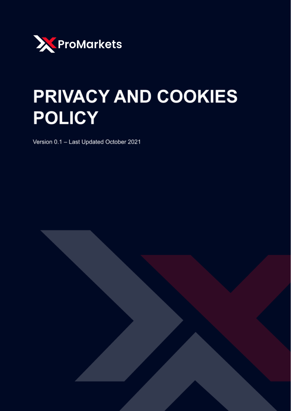

# PRIVACY AND COOKIES **POLICY**

Version 0.1 - Last Updated October 2021

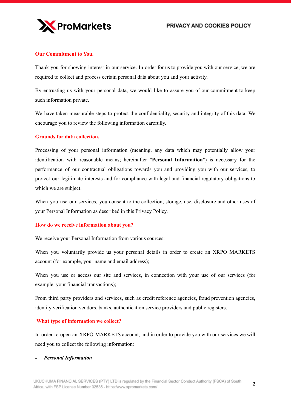

# **Our Commitment to You.**

Thank you for showing interest in our service. In order for us to provide you with our service, we are required to collect and process certain personal data about you and your activity.

By entrusting us with your personal data, we would like to assure you of our commitment to keep such information private.

We have taken measurable steps to protect the confidentiality, security and integrity of this data. We encourage you to review the following information carefully.

# **Grounds for data collection.**

Processing of your personal information (meaning, any data which may potentially allow your identification with reasonable means; hereinafter "**Personal Information**") is necessary for the performance of our contractual obligations towards you and providing you with our services, to protect our legitimate interests and for compliance with legal and financial regulatory obligations to which we are subject.

When you use our services, you consent to the collection, storage, use, disclosure and other uses of your Personal Information as described in this Privacy Policy.

#### **How do we receive information about you?**

We receive your Personal Information from various sources:

When you voluntarily provide us your personal details in order to create an XRPO MARKETS account (for example, your name and email address);

When you use or access our site and services, in connection with your use of our services (for example, your financial transactions);

From third party providers and services, such as credit reference agencies, fraud prevention agencies, identity verification vendors, banks, authentication service providers and public registers.

#### **What type of information we collect?**

In order to open an XRPO MARKETS account, and in order to provide you with our services we will need you to collect the following information:

#### *- Personal Information*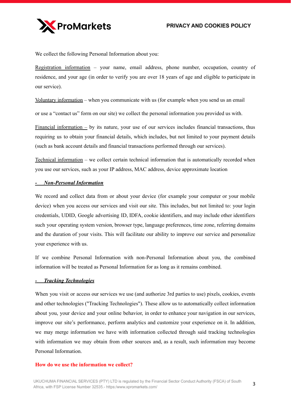

We collect the following Personal Information about you:

Registration information – your name, email address, phone number, occupation, country of residence, and your age (in order to verify you are over 18 years of age and eligible to participate in our service).

Voluntary information – when you communicate with us (for example when you send us an email

or use a "contact us" form on our site) we collect the personal information you provided us with.

Financial information – by its nature, your use of our services includes financial transactions, thus requiring us to obtain your financial details, which includes, but not limited to your payment details (such as bank account details and financial transactions performed through our services).

Technical information – we collect certain technical information that is automatically recorded when you use our services, such as your IP address, MAC address, device approximate location

## *- Non-Personal Information*

We record and collect data from or about your device (for example your computer or your mobile device) when you access our services and visit our site. This includes, but not limited to: your login credentials, UDID, Google advertising ID, IDFA, cookie identifiers, and may include other identifiers such your operating system version, browser type, language preferences, time zone, referring domains and the duration of your visits. This will facilitate our ability to improve our service and personalize your experience with us.

If we combine Personal Information with non-Personal Information about you, the combined information will be treated as Personal Information for as long as it remains combined.

#### *- Tracking Technologies*

When you visit or access our services we use (and authorize 3rd parties to use) pixels, cookies, events and other technologies ("Tracking Technologies"). These allow us to automatically collect information about you, your device and your online behavior, in order to enhance your navigation in our services, improve our site's performance, perform analytics and customize your experience on it. In addition, we may merge information we have with information collected through said tracking technologies with information we may obtain from other sources and, as a result, such information may become Personal Information.

#### **How do we use the information we collect?**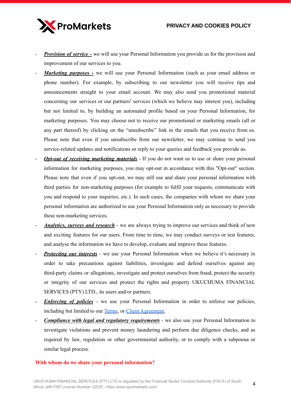

- *Provision of service* we will use your Personal Information you provide us for the provision and improvement of our services to you.
- *Marketing purposes* we will use your Personal Information (such as your email address or phone number). For example, by subscribing to our newsletter you will receive tips and announcements straight to your email account. We may also send you promotional material concerning our services or our partners' services (which we believe may interest you), including but not limited to, by building an automated profile based on your Personal Information, for marketing purposes. You may choose not to receive our promotional or marketing emails (all or any part thereof) by clicking on the "unsubscribe" link in the emails that you receive from us. Please note that even if you unsubscribe from our newsletter, we may continue to send you service-related updates and notifications or reply to your queries and feedback you provide us.
- *Opt-out of receiving marketing materials* If you do not want us to use or share your personal information for marketing purposes, you may opt-out in accordance with this "Opt-out" section. Please note that even if you opt-out, we may still use and share your personal information with third parties for non-marketing purposes (for example to fulfil your requests, communicate with you and respond to your inquiries, etc.). In such cases, the companies with whom we share your personal information are authorized to use your Personal Information only as necessary to provide these non-marketing services.
- *Analytics, surveys and research* we are always trying to improve our services and think of new and exciting features for our users. From time to time, we may conduct surveys or test features, and analyse the information we have to develop, evaluate and improve these features.
- *Protecting our interests* we use your Personal Information when we believe it's necessary in order to take precautions against liabilities, investigate and defend ourselves against any third-party claims or allegations, investigate and protect ourselves from fraud, protect the security or integrity of our services and protect the rights and property UKUCHUMA FINANCIAL SERVICES (PTY) LTD., its users and/or partners.
- *Enforcing of policies* we use your Personal Information in order to enforce our policies, including but limited to our [Terms,](https://xpromarkets.com/legal/terms-and-conditions-for-the-use-of-the-website/) or Client [Agreement.](https://xpromarkets.com/legal/client-agreement/)
- *Compliance with legal and regulatory requirements* we also use your Personal Information to investigate violations and prevent money laundering and perform due diligence checks, and as required by law, regulation or other governmental authority, or to comply with a subpoena or similar legal process.

## **With whom do we share your personal information?**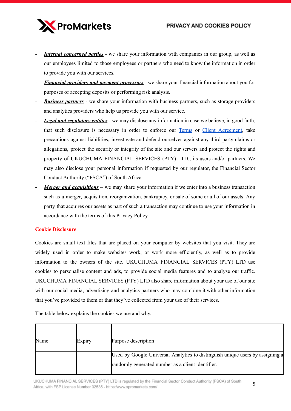# PRIVACY AND COOKIES POLICY



- *Internal concerned parties* we share your information with companies in our group, as well as our employees limited to those employees or partners who need to know the information in order to provide you with our services.
- *Financial providers and payment processors* we share your financial information about you for purposes of accepting deposits or performing risk analysis.
- *Business partners* we share your information with business partners, such as storage providers and analytics providers who help us provide you with our service.
- *Legal and regulatory entities* we may disclose any information in case we believe, in good faith, that such disclosure is necessary in order to enforce our [Terms](https://xpromarkets.com/legal/terms-and-conditions-for-the-use-of-the-website/) or Client [Agreement](https://xpromarkets.com/legal/client-agreement/), take precautions against liabilities, investigate and defend ourselves against any third-party claims or allegations, protect the security or integrity of the site and our servers and protect the rights and property of UKUCHUMA FINANCIAL SERVICES (PTY) LTD., its users and/or partners. We may also disclose your personal information if requested by our regulator, the Financial Sector Conduct Authority ("FSCA") of South Africa.
- *Merger and acquisitions* we may share your information if we enter into a business transaction such as a merger, acquisition, reorganization, bankruptcy, or sale of some or all of our assets. Any party that acquires our assets as part of such a transaction may continue to use your information in accordance with the terms of this Privacy Policy.

## **Cookie Disclosure**

Cookies are small text files that are placed on your computer by websites that you visit. They are widely used in order to make websites work, or work more efficiently, as well as to provide information to the owners of the site. UKUCHUMA FINANCIAL SERVICES (PTY) LTD use cookies to personalise content and ads, to provide social media features and to analyse our traffic. UKUCHUMA FINANCIAL SERVICES (PTY) LTD also share information about your use of our site with our social media, advertising and analytics partners who may combine it with other information that you've provided to them or that they've collected from your use of their services.

The table below explains the cookies we use and why.

| Name | Expiry | Purpose description                                                                                                                |
|------|--------|------------------------------------------------------------------------------------------------------------------------------------|
|      |        | Used by Google Universal Analytics to distinguish unique users by assigning a<br>randomly generated number as a client identifier. |

UKUCHUMA FINANCIAL SERVICES (PTY) LTD is regulated by the Financial Sector Conduct Authority (FSCA) of South Africa, with FSP License Number 32535.- https:/www.xpromarkets.com/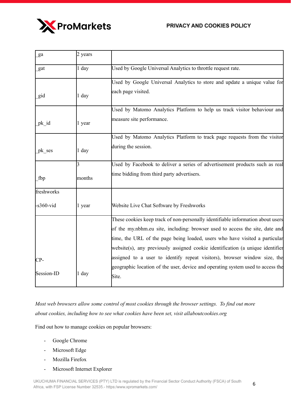# PRIVACY AND COOKIES POLICY



| ga                         | 2 years                  |                                                                                                                                                                                                                                                                                                                                                                                                               |
|----------------------------|--------------------------|---------------------------------------------------------------------------------------------------------------------------------------------------------------------------------------------------------------------------------------------------------------------------------------------------------------------------------------------------------------------------------------------------------------|
| gat                        | 1 day                    | Used by Google Universal Analytics to throttle request rate.                                                                                                                                                                                                                                                                                                                                                  |
| gid                        | $1$ day                  | Used by Google Universal Analytics to store and update a unique value for<br>each page visited.                                                                                                                                                                                                                                                                                                               |
| pk id                      | 1 year                   | Used by Matomo Analytics Platform to help us track visitor behaviour and<br>measure site performance.                                                                                                                                                                                                                                                                                                         |
| pk ses                     | 1 day                    | Used by Matomo Analytics Platform to track page requests from the visitor<br>during the session.                                                                                                                                                                                                                                                                                                              |
| fbp                        | $\overline{3}$<br>months | Used by Facebook to deliver a series of advertisement products such as real<br>time bidding from third party advertisers.                                                                                                                                                                                                                                                                                     |
| freshworks<br>$-s360$ -vid | 1 year                   | Website Live Chat Software by Freshworks                                                                                                                                                                                                                                                                                                                                                                      |
| CP-                        |                          | These cookies keep track of non-personally identifiable information about users<br>of the my.nbhm.eu site, including: browser used to access the site, date and<br>time, the URL of the page being loaded, users who have visited a particular<br>website(s), any previously assigned cookie identification (a unique identifier<br>assigned to a user to identify repeat visitors), browser window size, the |
| Session-ID                 | 1 day                    | geographic location of the user, device and operating system used to access the<br>Site.                                                                                                                                                                                                                                                                                                                      |

*Most web browsers allow some control of most cookies through the browser settings. To find out more about cookies, including how to see what cookies have been set, visit allaboutcookies.org*

Find out how to manage cookies on popular browsers:

- Google Chrome
- Microsoft Edge
- Mozilla Firefox
- Microsoft Internet Explorer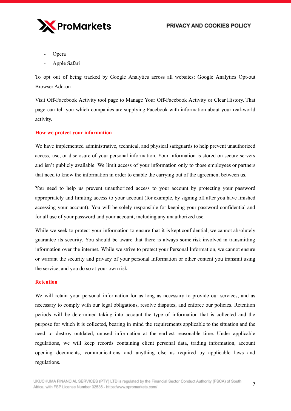

- **Opera**
- Apple Safari

To opt out of being tracked by Google Analytics across all websites: Google Analytics Opt-out Browser Add-on

Visit Off-Facebook Activity tool page to Manage Your Off-Facebook Activity or Clear History. That page can tell you which companies are supplying Facebook with information about your real-world activity.

#### **How we protect your information**

We have implemented administrative, technical, and physical safeguards to help prevent unauthorized access, use, or disclosure of your personal information. Your information is stored on secure servers and isn't publicly available. We limit access of your information only to those employees or partners that need to know the information in order to enable the carrying out of the agreement between us.

You need to help us prevent unauthorized access to your account by protecting your password appropriately and limiting access to your account (for example, by signing off after you have finished accessing your account). You will be solely responsible for keeping your password confidential and for all use of your password and your account, including any unauthorized use.

While we seek to protect your information to ensure that it is kept confidential, we cannot absolutely guarantee its security. You should be aware that there is always some risk involved in transmitting information over the internet. While we strive to protect your Personal Information, we cannot ensure or warrant the security and privacy of your personal Information or other content you transmit using the service, and you do so at your own risk.

#### **Retention**

We will retain your personal information for as long as necessary to provide our services, and as necessary to comply with our legal obligations, resolve disputes, and enforce our policies. Retention periods will be determined taking into account the type of information that is collected and the purpose for which it is collected, bearing in mind the requirements applicable to the situation and the need to destroy outdated, unused information at the earliest reasonable time. Under applicable regulations, we will keep records containing client personal data, trading information, account opening documents, communications and anything else as required by applicable laws and regulations.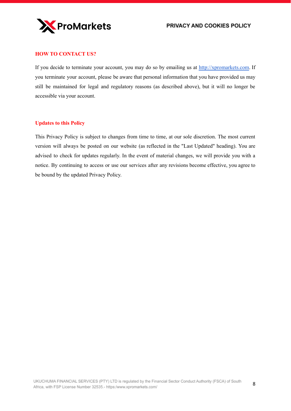# **HOW TO CONTACT US?**

If you decide to terminate your account, you may do so by emailing us at <http://xpromarkets.com>. If you terminate your account, please be aware that personal information that you have provided us may still be maintained for legal and regulatory reasons (as described above), but it will no longer be accessible via your account.

## **Updates to this Policy**

This Privacy Policy is subject to changes from time to time, at our sole discretion. The most current version will always be posted on our website (as reflected in the "Last Updated" heading). You are advised to check for updates regularly. In the event of material changes, we will provide you with a notice. By continuing to access or use our services after any revisions become effective, you agree to be bound by the updated Privacy Policy.